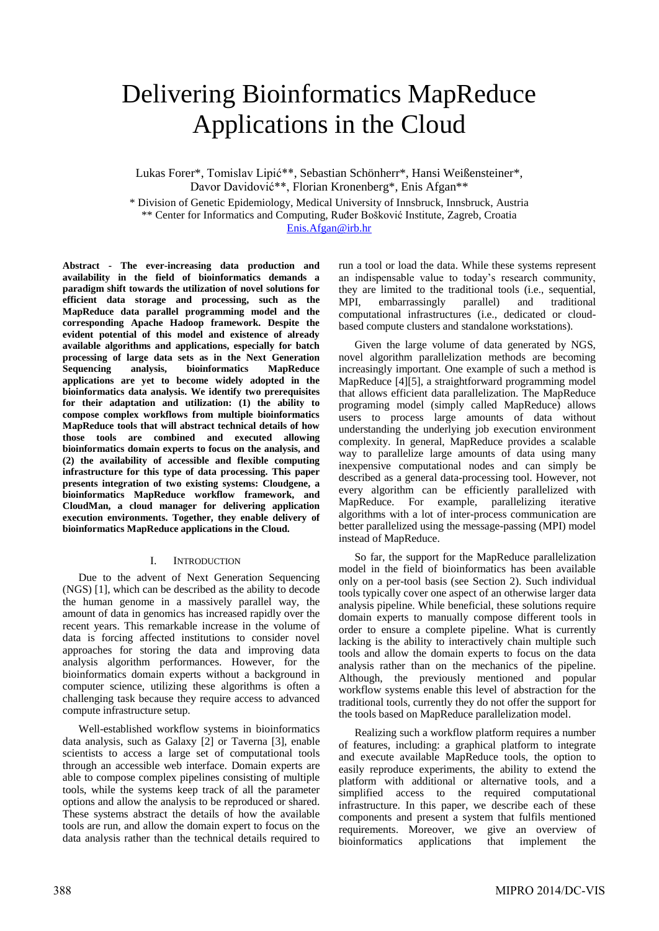# Delivering Bioinformatics MapReduce Applications in the Cloud

Lukas Forer\*, Tomislav Lipić\*\*, Sebastian Schönherr\*, Hansi Weißensteiner\*, Davor Davidović\*\*, Florian Kronenberg\*, Enis Afgan\*\*

\* Division of Genetic Epidemiology, Medical University of Innsbruck, Innsbruck, Austria \*\* Center for Informatics and Computing, Ruđer Bošković Institute, Zagreb, Croatia [Enis.Afgan@irb.hr](mailto:Enis.Afgan@irb.hr)

**Abstract - The ever-increasing data production and availability in the field of bioinformatics demands a paradigm shift towards the utilization of novel solutions for efficient data storage and processing, such as the MapReduce data parallel programming model and the corresponding Apache Hadoop framework. Despite the evident potential of this model and existence of already available algorithms and applications, especially for batch processing of large data sets as in the Next Generation Sequencing analysis, bioinformatics MapReduce applications are yet to become widely adopted in the bioinformatics data analysis. We identify two prerequisites for their adaptation and utilization: (1) the ability to compose complex workflows from multiple bioinformatics MapReduce tools that will abstract technical details of how those tools are combined and executed allowing bioinformatics domain experts to focus on the analysis, and (2) the availability of accessible and flexible computing infrastructure for this type of data processing. This paper presents integration of two existing systems: Cloudgene, a bioinformatics MapReduce workflow framework, and CloudMan, a cloud manager for delivering application execution environments. Together, they enable delivery of bioinformatics MapReduce applications in the Cloud.** 

# I. INTRODUCTION

Due to the advent of Next Generation Sequencing (NGS[\) \[1\],](#page-4-0) which can be described as the ability to decode the human genome in a massively parallel way, the amount of data in genomics has increased rapidly over the recent years. This remarkable increase in the volume of data is forcing affected institutions to consider novel approaches for storing the data and improving data analysis algorithm performances. However, for the bioinformatics domain experts without a background in computer science, utilizing these algorithms is often a challenging task because they require access to advanced compute infrastructure setup.

Well-established workflow systems in bioinformatics data analysis, such as Galaxy [\[2\]](#page-4-1) or Taverna [\[3\],](#page-4-2) enable scientists to access a large set of computational tools through an accessible web interface. Domain experts are able to compose complex pipelines consisting of multiple tools, while the systems keep track of all the parameter options and allow the analysis to be reproduced or shared. These systems abstract the details of how the available tools are run, and allow the domain expert to focus on the data analysis rather than the technical details required to

run a tool or load the data. While these systems represent an indispensable value to today's research community, they are limited to the traditional tools (i.e., sequential, MPI, embarrassingly parallel) and traditional computational infrastructures (i.e., dedicated or cloudbased compute clusters and standalone workstations).

Given the large volume of data generated by NGS, novel algorithm parallelization methods are becoming increasingly important. One example of such a method is MapReduce [\[4\]\[5\],](#page-4-3) a straightforward programming model that allows efficient data parallelization. The MapReduce programing model (simply called MapReduce) allows users to process large amounts of data without understanding the underlying job execution environment complexity. In general, MapReduce provides a scalable way to parallelize large amounts of data using many inexpensive computational nodes and can simply be described as a general data-processing tool. However, not every algorithm can be efficiently parallelized with MapReduce. For example, parallelizing iterative algorithms with a lot of inter-process communication are better parallelized using the message-passing (MPI) model instead of MapReduce.

So far, the support for the MapReduce parallelization model in the field of bioinformatics has been available only on a per-tool basis (see Section 2). Such individual tools typically cover one aspect of an otherwise larger data analysis pipeline. While beneficial, these solutions require domain experts to manually compose different tools in order to ensure a complete pipeline. What is currently lacking is the ability to interactively chain multiple such tools and allow the domain experts to focus on the data analysis rather than on the mechanics of the pipeline. Although, the previously mentioned and popular workflow systems enable this level of abstraction for the traditional tools, currently they do not offer the support for the tools based on MapReduce parallelization model.

Realizing such a workflow platform requires a number of features, including: a graphical platform to integrate and execute available MapReduce tools, the option to easily reproduce experiments, the ability to extend the platform with additional or alternative tools, and a simplified access to the required computational infrastructure. In this paper, we describe each of these components and present a system that fulfils mentioned requirements. Moreover, we give an overview of bioinformatics applications that implement the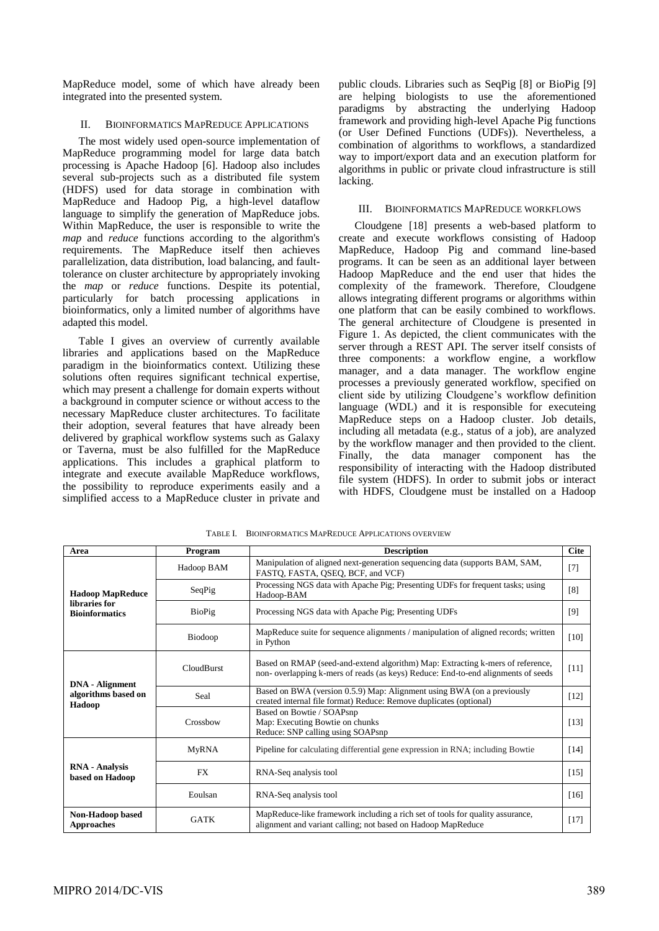MapReduce model, some of which have already been integrated into the presented system.

# II. BIOINFORMATICS MAPREDUCE APPLICATIONS

The most widely used open-source implementation of MapReduce programming model for large data batch processing is Apache Hadoop [\[6\].](#page-4-4) Hadoop also includes several sub-projects such as a distributed file system (HDFS) used for data storage in combination with MapReduce and Hadoop Pig, a high-level dataflow language to simplify the generation of MapReduce jobs. Within MapReduce, the user is responsible to write the *map* and *reduce* functions according to the algorithm's requirements. The MapReduce itself then achieves parallelization, data distribution, load balancing, and faulttolerance on cluster architecture by appropriately invoking the *map* or *reduce* functions. Despite its potential, particularly for batch processing applications in bioinformatics, only a limited number of algorithms have adapted this model.

[Table I](#page-1-0) gives an overview of currently available libraries and applications based on the MapReduce paradigm in the bioinformatics context. Utilizing these solutions often requires significant technical expertise, which may present a challenge for domain experts without a background in computer science or without access to the necessary MapReduce cluster architectures. To facilitate their adoption, several features that have already been delivered by graphical workflow systems such as Galaxy or Taverna, must be also fulfilled for the MapReduce applications. This includes a graphical platform to integrate and execute available MapReduce workflows, the possibility to reproduce experiments easily and a simplified access to a MapReduce cluster in private and

public clouds. Libraries such as SeqPig [\[8\]](#page-4-5) or BioPig [\[9\]](#page-4-6) are helping biologists to use the aforementioned paradigms by abstracting the underlying Hadoop framework and providing high-level Apache Pig functions (or User Defined Functions (UDFs)). Nevertheless, a combination of algorithms to workflows, a standardized way to import/export data and an execution platform for algorithms in public or private cloud infrastructure is still lacking.

# III. BIOINFORMATICS MAPREDUCE WORKFLOWS

Cloudgene [\[18\]](#page-4-7) presents a web-based platform to create and execute workflows consisting of Hadoop MapReduce, Hadoop Pig and command line-based programs. It can be seen as an additional layer between Hadoop MapReduce and the end user that hides the complexity of the framework. Therefore, Cloudgene allows integrating different programs or algorithms within one platform that can be easily combined to workflows. The general architecture of Cloudgene is presented in [Figure 1. A](#page-2-0)s depicted, the client communicates with the server through a REST API. The server itself consists of three components: a workflow engine, a workflow manager, and a data manager. The workflow engine processes a previously generated workflow, specified on client side by utilizing Cloudgene's workflow definition language (WDL) and it is responsible for executeing MapReduce steps on a Hadoop cluster. Job details, including all metadata (e.g., status of a job), are analyzed by the workflow manager and then provided to the client. Finally, the data manager component has the responsibility of interacting with the Hadoop distributed file system (HDFS). In order to submit jobs or interact with HDFS, Cloudgene must be installed on a Hadoop

<span id="page-1-0"></span>

| Area                                                              | Program           | <b>Description</b>                                                                                                                                                  | <b>Cite</b> |
|-------------------------------------------------------------------|-------------------|---------------------------------------------------------------------------------------------------------------------------------------------------------------------|-------------|
| <b>Hadoop MapReduce</b><br>libraries for<br><b>Bioinformatics</b> | Hadoop BAM        | Manipulation of aligned next-generation sequencing data (supports BAM, SAM,<br>FASTQ, FASTA, QSEQ, BCF, and VCF)                                                    | [7]         |
|                                                                   | SeqPig            | Processing NGS data with Apache Pig; Presenting UDFs for frequent tasks; using<br>Hadoop-BAM                                                                        | [8]         |
|                                                                   | BioPig            | Processing NGS data with Apache Pig; Presenting UDFs                                                                                                                | [9]         |
|                                                                   | Biodoop           | MapReduce suite for sequence alignments / manipulation of aligned records; written<br>in Python                                                                     | $[10]$      |
| <b>DNA</b> - Alignment<br>algorithms based on<br>Hadoop           | <b>CloudBurst</b> | Based on RMAP (seed-and-extend algorithm) Map: Extracting k-mers of reference,<br>non- overlapping k-mers of reads (as keys) Reduce: End-to-end alignments of seeds | $[11]$      |
|                                                                   | Seal              | Based on BWA (version 0.5.9) Map: Alignment using BWA (on a previously<br>created internal file format) Reduce: Remove duplicates (optional)                        | $[12]$      |
|                                                                   | Crossbow          | Based on Bowtie / SOAPsnp<br>Map: Executing Bowtie on chunks<br>Reduce: SNP calling using SOAPsnp                                                                   | $[13]$      |
| <b>RNA</b> - Analysis<br>based on Hadoop                          | <b>MyRNA</b>      | Pipeline for calculating differential gene expression in RNA; including Bowtie                                                                                      | $[14]$      |
|                                                                   | <b>FX</b>         | RNA-Seq analysis tool                                                                                                                                               | $[15]$      |
|                                                                   | Eoulsan           | RNA-Seq analysis tool                                                                                                                                               | [16]        |
| Non-Hadoop based<br><b>Approaches</b>                             | <b>GATK</b>       | MapReduce-like framework including a rich set of tools for quality assurance,<br>alignment and variant calling; not based on Hadoop MapReduce                       | $[17]$      |

TABLE I. BIOINFORMATICS MAPREDUCE APPLICATIONS OVERVIEW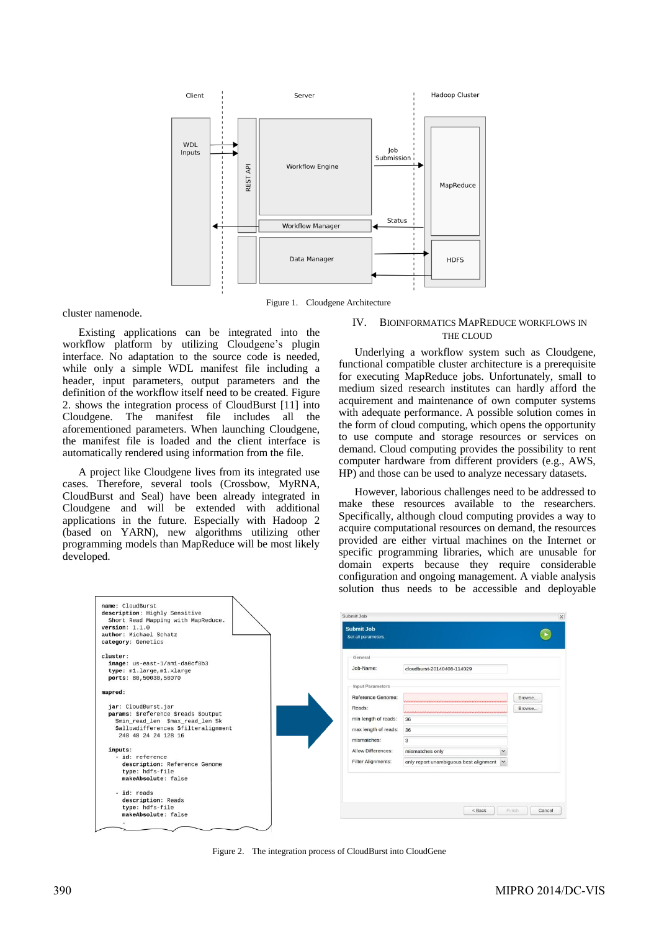

Figure 1. Cloudgene Architecture

### <span id="page-2-0"></span>cluster namenode.

Existing applications can be integrated into the workflow platform by utilizing Cloudgene's plugin interface. No adaptation to the source code is needed, while only a simple WDL manifest file including a header, input parameters, output parameters and the definition of the workflow itself need to be created. [Figure](#page-2-1)  [2. s](#page-2-1)hows the integration process of CloudBurst [\[11\]](#page-4-10) into Cloudgene. The manifest file includes all the aforementioned parameters. When launching Cloudgene, the manifest file is loaded and the client interface is automatically rendered using information from the file.

A project like Cloudgene lives from its integrated use cases. Therefore, several tools (Crossbow, MyRNA, CloudBurst and Seal) have been already integrated in Cloudgene and will be extended with additional applications in the future. Especially with Hadoop 2 (based on YARN), new algorithms utilizing other programming models than MapReduce will be most likely developed.

# IV. BIOINFORMATICS MAPREDUCE WORKFLOWS IN THE CLOUD

Underlying a workflow system such as Cloudgene, functional compatible cluster architecture is a prerequisite for executing MapReduce jobs. Unfortunately, small to medium sized research institutes can hardly afford the acquirement and maintenance of own computer systems with adequate performance. A possible solution comes in the form of cloud computing, which opens the opportunity to use compute and storage resources or services on demand. Cloud computing provides the possibility to rent computer hardware from different providers (e.g., AWS, HP) and those can be used to analyze necessary datasets.

However, laborious challenges need to be addressed to make these resources available to the researchers. Specifically, although cloud computing provides a way to acquire computational resources on demand, the resources provided are either virtual machines on the Internet or specific programming libraries, which are unusable for domain experts because they require considerable configuration and ongoing management. A viable analysis solution thus needs to be accessible and deployable



<span id="page-2-1"></span>Figure 2. The integration process of CloudBurst into CloudGene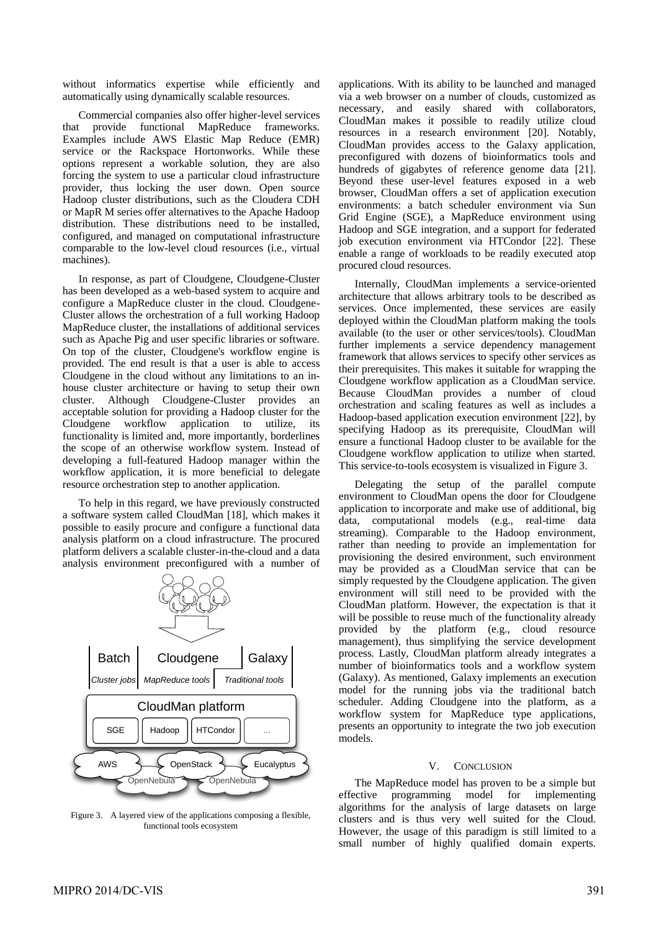without informatics expertise while efficiently and automatically using dynamically scalable resources.

Commercial companies also offer higher-level services that provide functional MapReduce frameworks. Examples include AWS Elastic Map Reduce (EMR) service or the Rackspace Hortonworks. While these options represent a workable solution, they are also forcing the system to use a particular cloud infrastructure provider, thus locking the user down. Open source Hadoop cluster distributions, such as the Cloudera CDH or MapR M series offer alternatives to the Apache Hadoop distribution. These distributions need to be installed, configured, and managed on computational infrastructure comparable to the low-level cloud resources (i.e., virtual machines).

In response, as part of Cloudgene, Cloudgene-Cluster has been developed as a web-based system to acquire and configure a MapReduce cluster in the cloud. Cloudgene-Cluster allows the orchestration of a full working Hadoop MapReduce cluster, the installations of additional services such as Apache Pig and user specific libraries or software. On top of the cluster, Cloudgene's workflow engine is provided. The end result is that a user is able to access Cloudgene in the cloud without any limitations to an inhouse cluster architecture or having to setup their own cluster. Although Cloudgene-Cluster provides an acceptable solution for providing a Hadoop cluster for the Cloudgene workflow application to utilize, its functionality is limited and, more importantly, borderlines the scope of an otherwise workflow system. Instead of developing a full-featured Hadoop manager within the workflow application, it is more beneficial to delegate resource orchestration step to another application.

To help in this regard, we have previously constructed a software system called CloudMan [\[18\],](#page-4-7) which makes it possible to easily procure and configure a functional data analysis platform on a cloud infrastructure. The procured platform delivers a scalable cluster-in-the-cloud and a data analysis environment preconfigured with a number of



<span id="page-3-0"></span>Figure 3. A layered view of the applications composing a flexible, functional tools ecosystem

applications. With its ability to be launched and managed via a web browser on a number of clouds, customized as necessary, and easily shared with collaborators, CloudMan makes it possible to readily utilize cloud resources in a research environment [\[20\].](#page-4-17) Notably, CloudMan provides access to the Galaxy application, preconfigured with dozens of bioinformatics tools and hundreds of gigabytes of reference genome data [\[21\].](#page-4-18) Beyond these user-level features exposed in a web browser, CloudMan offers a set of application execution environments: a batch scheduler environment via Sun Grid Engine (SGE), a MapReduce environment using Hadoop and SGE integration, and a support for federated job execution environment via HTCondor [\[22\].](#page-4-19) These enable a range of workloads to be readily executed atop procured cloud resources.

Internally, CloudMan implements a service-oriented architecture that allows arbitrary tools to be described as services. Once implemented, these services are easily deployed within the CloudMan platform making the tools available (to the user or other services/tools). CloudMan further implements a service dependency management framework that allows services to specify other services as their prerequisites. This makes it suitable for wrapping the Cloudgene workflow application as a CloudMan service. Because CloudMan provides a number of cloud orchestration and scaling features as well as includes a Hadoop-based application execution environment [\[22\],](#page-4-19) by specifying Hadoop as its prerequisite, CloudMan will ensure a functional Hadoop cluster to be available for the Cloudgene workflow application to utilize when started. This service-to-tools ecosystem is visualized i[n Figure 3.](#page-3-0) 

Delegating the setup of the parallel compute environment to CloudMan opens the door for Cloudgene application to incorporate and make use of additional, big data, computational models (e.g., real-time data streaming). Comparable to the Hadoop environment, rather than needing to provide an implementation for provisioning the desired environment, such environment may be provided as a CloudMan service that can be simply requested by the Cloudgene application. The given environment will still need to be provided with the CloudMan platform. However, the expectation is that it will be possible to reuse much of the functionality already provided by the platform (e.g., cloud resource management), thus simplifying the service development process. Lastly, CloudMan platform already integrates a number of bioinformatics tools and a workflow system (Galaxy). As mentioned, Galaxy implements an execution model for the running jobs via the traditional batch scheduler. Adding Cloudgene into the platform, as a workflow system for MapReduce type applications, presents an opportunity to integrate the two job execution models.

## V. CONCLUSION

The MapReduce model has proven to be a simple but effective programming model for implementing algorithms for the analysis of large datasets on large clusters and is thus very well suited for the Cloud. However, the usage of this paradigm is still limited to a small number of highly qualified domain experts.